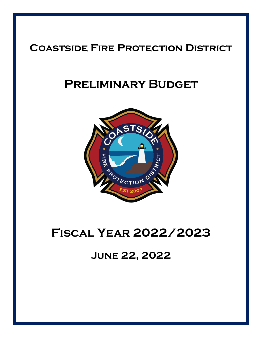## **Coastside Fire Protection District**

# **Preliminary Budget**



# **Fiscal Year 2022/2023**

**June 22, 2022**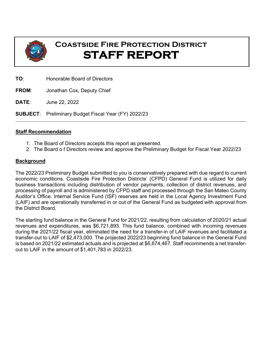

## **Coastside Fire Protection District STAFF REPORT**

**TO**: Honorable Board of Directors

**FROM**: Jonathan Cox, Deputy Chief

**DATE**: June 22, 2022

**SUBJECT**: Preliminary Budget Fiscal Year (FY) 2022/23

#### **Staff Recommendation**

- 1. The Board of Directors accepts this report as presented.
- 2. The Board o f Directors review and approve the Preliminary Budget for Fiscal Year 2022/23

#### **Background**

The 2022/23 Preliminary Budget submitted to you is conservatively prepared with due regard to current economic conditions. Coastside Fire Protection Districts' (CFPD) General Fund is utilized for daily business transactions including distribution of vendor payments, collection of district revenues, and processing of payroll and is administered by CFPD staff and processed through the San Mateo County Auditor's Office. Internal Service Fund (ISF) reserves are held in the Local Agency Investment Fund (LAIF) and are operationally transferred in or out of the General Fund as budgeted with approval from the District Board.

The starting fund balance in the General Fund for 2021/22, resulting from calculation of 2020/21 actual revenues and expenditures, was \$6,721,893. This fund balance, combined with incoming revenues during the 2021/22 fiscal year, eliminated the need for a transfer-in of LAIF revenues and facilitated a transfer-out to LAIF of \$2,473,000. The projected 2022/23 beginning fund balance in the General Fund is based on 2021/22 estimated actuals and is projected at \$6,674,467. Staff recommends a net transferout to LAIF in the amount of \$1,401,783 in 2022/23.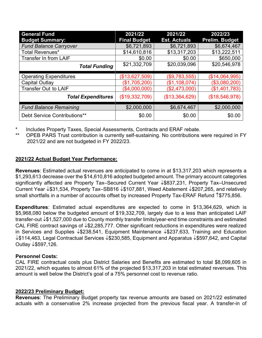| <b>General Fund</b>           | 2021/22             | 2021/22             | 2022/23               |
|-------------------------------|---------------------|---------------------|-----------------------|
| <b>Budget Summary:</b>        | <b>Final Budget</b> | <b>Est. Actuals</b> | <b>Prelim. Budget</b> |
| <b>Fund Balance Carryover</b> | \$6,721,893         | \$6,721,893         | \$6,674,467           |
| <b>Total Revenues*</b>        | \$14,610,816        | \$13,317,203        | \$13,222,511          |
| Transfer In from LAIF         | \$0.00              | \$0.00              | \$650,000             |
| <b>Total Funding</b>          | \$21,332,709        | \$20,039,096        | \$20,546,978          |
|                               |                     |                     |                       |
| <b>Operating Expenditures</b> | (\$13,627,509)      | (\$9,783,555)       | (\$14,064,995)        |
| Capital Outlay                | (\$1,705,200)       | (\$1,108,074)       | (\$3,080,200)         |
| <b>Transfer Out to LAIF</b>   | (\$4,000,000)       | (\$2,473,000)       | (\$1,401,783)         |
| <b>Total Expenditures</b>     | (\$19,332,709)      | (\$13,364,629)      | (\$18,546,978)        |
| <b>Fund Balance Remaining</b> | \$2,000,000         | \$6,674,467         | \$2,000,000           |
| Debt Service Contributions**  | \$0.00              | \$0.00              | \$0.00                |

Includes Property Taxes, Special Assessments, Contracts and ERAF rebate.

OPEB PARS Trust contribution is currently self-sustaining. No contributions were required in FY 2021/22 and are not budgeted in FY 2022/23.

#### **2021/22 Actual Budget Year Performance:**

**Revenues**: Estimated actual revenues are anticipated to come in at \$13,317,203 which represents a \$1,293,613 decrease over the \$14,610,816 adopted budgeted amount. The primary account categories significantly affected are Property Tax–Secured Current Year ↓\$837,231, Property Tax–Unsecured Current Year  $\downarrow$ \$31,534, Property Tax–SB816  $\downarrow$ \$107,881, Weed Abatement  $\downarrow$ \$207,265, and relatively small shortfalls in a number of accounts offset by increased Property Tax-ERAF Refund 1\\$775,856.

**Expenditures**: Estimated actual expenditures are expected to come in \$13,364,629, which is \$5,968,080 below the budgeted amount of \$19,332,709, largely due to a less than anticipated LAIF transfer-out  $\downarrow$ \$1,527,000 due to County monthly transfer limits/year-end time constraints and estimated CAL FIRE contract savings of  $\downarrow$  \$2,285,777. Other significant reductions in expenditures were realized in Services and Supplies  $\downarrow$ \$238,541, Equipment Maintenance  $\downarrow$ \$237,633, Training and Education  $\downarrow$ \$114,463, Legal Contractual Services  $\downarrow$ \$230,585, Equipment and Apparatus  $\downarrow$ \$597,642, and Capital Outlay ↓\$597,126.

#### **Personnel Costs:**

CAL FIRE contractual costs plus District Salaries and Benefits are estimated to total \$8,099,605 in 2021/22, which equates to almost 61% of the projected \$13,317,203 in total estimated revenues. This amount is well below the District's goal of a 75% personnel cost to revenue ratio.

#### **2022/23 Preliminary Budget:**

**Revenues**: The Preliminary Budget property tax revenue amounts are based on 2021/22 estimated actuals with a conservative 2% increase projected from the previous fiscal year. A transfer-in of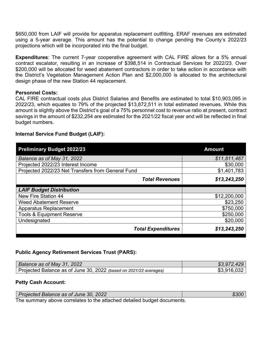\$650,000 from LAIF will provide for apparatus replacement outfitting. ERAF revenues are estimated using a 5-year average. This amount has the potential to change pending the County's 2022/23 projections which will be incorporated into the final budget.

**Expenditures**: The current 7-year cooperative agreement with CAL FIRE allows for a 5% annual contract escalator, resulting in an increase of \$398,514 in Contractual Services for 2022/23. Over \$200,000 will be allocated for weed abatement contractors in order to take action in accordance with the District's Vegetation Management Action Plan and \$2,000,000 is allocated to the architectural design phase of the new Station 44 replacement.

#### **Personnel Costs:**

CAL FIRE contractual costs plus District Salaries and Benefits are estimated to total \$10,903,095 in 2022/23, which equates to 79% of the projected \$13,872,511 in total estimated revenues. While this amount is slightly above the District's goal of a 75% personnel cost to revenue ratio at present, contract savings in the amount of \$232,254 are estimated for the 2021/22 fiscal year and will be reflected in final budget numbers.

#### **Internal Service Fund Budget (LAIF):**

| <b>Preliminary Budget 2022/23</b>                 | <b>Amount</b> |
|---------------------------------------------------|---------------|
| Balance as of May 31, 2022                        | \$11,811,467  |
| Projected 2022/23 Interest Income                 | \$30,000      |
| Projected 2022/23 Net Transfers from General Fund | \$1,401,783   |
| <b>Total Revenues</b>                             | \$13,243,250  |
| <b>LAIF Budget Distribution</b>                   |               |
| <b>New Fire Station 44</b>                        | \$12,200,000  |
| <b>Weed Abatement Reserve</b>                     | \$23,250      |
| Apparatus Replacement                             | \$750,000     |
| <b>Tools &amp; Equipment Reserve</b>              | \$250,000     |
| Undesignated                                      | \$20,000      |
| <b>Total Expenditures</b>                         | \$13,243,250  |

#### **Public Agency Retirement Services Trust (PARS):**

| Balance as of May 31, 2022                                        | \$3,972,429 |
|-------------------------------------------------------------------|-------------|
| Projected Balance as of June 30, 2022 (based on 2021/22 averages) | \$3,916,032 |

#### **Petty Cash Account:**

| Projected Balance as of June 30, 2022                                   | \$300 |
|-------------------------------------------------------------------------|-------|
| The summary above correlates to the attached detailed budget documents. |       |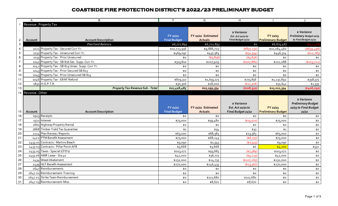|                  | $\mathsf{A}$    | B                                                                | $\overline{F}$                  | G                                    | H                                                      |                                       |                                                                        |
|------------------|-----------------|------------------------------------------------------------------|---------------------------------|--------------------------------------|--------------------------------------------------------|---------------------------------------|------------------------------------------------------------------------|
|                  |                 | Revenue . Property Tax                                           |                                 |                                      |                                                        |                                       |                                                                        |
| $\overline{2}$   | Account         | <b>Account Description</b>                                       | FY 21/22<br><b>Final Budget</b> | FY 21/22 Estimated<br><b>Actuals</b> | \$ Variance<br>Est. Act 21/22 to<br>Final Budget 21/22 | FY 22/23<br><b>Preliminary Budget</b> | <b>s</b> Variance<br>Preliminary Budget 22/23<br>to Final Budget 21/22 |
| $\sqrt{3}$       |                 | Prior Fund Balance                                               | \$6,721,893                     | \$6,721,893                          | \$0                                                    | \$6,674,467                           | (47, 426)                                                              |
| 4                |                 | 1021 Property Tax - Secured Curr Yr.                             | \$10,723,956                    | \$9,886,725                          | $(*837,231)$                                           | \$10,084,460                          | ( \$639, 496)                                                          |
| $\sqrt{5}$       |                 | 1031 Property Tax - Unsecured Curr Yr.                           | \$469,097                       | \$437,563                            | ( \$31, 534)                                           | \$446,314                             | (\$22,783)                                                             |
| $\,6\,$          |                 | 1033 Property Tax - Prior Unsecured                              | \$0                             | (5,836)                              | $($ \$5,836)                                           | \$0                                   | \$0                                                                    |
| $\overline{7}$   |                 | 1041 Property Tax - SB 816 Sec. Supp. Curr Yr.                   | \$315,810                       | \$207,929                            | (\$107,881)                                            | \$212,088                             | (\$103,722]                                                            |
| $\bf 8$          |                 | 1042 Property Tax - SB 813 Unsec. Supp. Curr Yr.                 | \$0                             | \$0                                  | \$0                                                    | \$0                                   | \$0                                                                    |
| $\boldsymbol{9}$ |                 | 1043 Property Tax - Prior Secured SB 813                         | \$0                             | \$0                                  | \$0                                                    | \$0                                   | \$0                                                                    |
| 10               |                 | 1045 Property Tax - Prior Unsecured SB 813                       | \$0                             | \$0                                  | \$0                                                    | \$0                                   | \$0                                                                    |
| 11               |                 | 1046 Property Tax - ERAF Refund                                  | \$879,317                       | \$1,655,173                          | \$775,856                                              | \$1,237,892                           | \$358,575                                                              |
| 12               |                 | $1831$ H.O.P.T.R.                                                | \$30,306                        | \$18,000                             | ( \$12,306)                                            | \$31,641                              | \$1,335                                                                |
| 13               |                 | <b>Property Tax Revenue Sub - Total</b>                          | \$12,418,485                    | \$12,199,554                         | (\$218,931)                                            | \$12,012,394                          | (5406,091)                                                             |
| 14               | Revenue . Other |                                                                  |                                 |                                      |                                                        |                                       |                                                                        |
|                  |                 |                                                                  |                                 |                                      |                                                        |                                       | \$ Variance                                                            |
|                  |                 |                                                                  | FY 21/22                        | FY 21/22 Estimated                   | <i>s</i> Variance<br>Est. Act 21/22 to                 | FY 22/23                              | <b>Preliminary Budget</b><br>22/23 to Final Budget                     |
| 15               | Account         | <b>Account Description</b>                                       | <b>Final Budget</b>             | <b>Actuals</b>                       | Final Budget 21/22                                     | <b>Preliminary Budget</b>             | 21/22                                                                  |
| 16               |                 | 0913 Receipts                                                    | \$0                             | \$0                                  | \$0                                                    | \$0                                   | \$0                                                                    |
| 17               |                 | 1521 Interest                                                    | \$75,000                        | \$59,480                             | ( \$15,520]                                            | \$75,000                              | \$0                                                                    |
| 18               |                 | 1661 Highway Property Rental                                     | \$0                             | \$0                                  | \$0                                                    | \$0                                   | \$0                                                                    |
| 19               |                 | 1868 Timber Yield Tax Guarantee                                  | \$1                             | \$34                                 | \$33                                                   | \$1                                   | \$0                                                                    |
| 20               |                 | 2124 Plan Review / Reports                                       | \$65,000                        | \$88,583                             | \$23,583                                               | \$65,000                              | \$0                                                                    |
| 21               |                 | 2422 PTM Benefit Assessment                                      | \$75,000                        | \$68,243                             | ( \$6,757)                                             | \$75,000                              | \$0                                                                    |
| 22               |                 | 2433.01 Contracts - Martins Beach                                | \$3,090                         | \$1,545                              | (\$1,545)                                              | \$3,090                               | \$0                                                                    |
| 23               |                 | 2433.03 Contracts - Pillar Point AFB                             | \$3,668                         | \$3,668                              | \$0                                                    | \$4,200                               | \$532                                                                  |
| 24               |                 | 2433.05 Taxes - Special (CFD's)                                  | \$103,072                       | \$95,683                             | (47,389)                                               | \$103,072                             | \$0                                                                    |
| 25               |                 | 2433.06 AMR Lease - Sta 40                                       | \$42,000                        | \$36,775                             | \$5,225                                                | \$42,000                              | \$0                                                                    |
| 26               |                 | 2434 Weed Abatement                                              | \$232,000                       | \$24,735                             | (\$207, 265)                                           | \$232,000                             | \$0                                                                    |
| 27               |                 | 2439 HLF Benefit Assessment                                      | \$270,000                       | \$246,433                            | ( \$23,567)                                            | \$270,000                             | \$0                                                                    |
| 28               |                 | 2647 Reimbursements                                              | \$0                             | \$0                                  | \$0                                                    | \$0                                   | \$0                                                                    |
| 29               |                 | 2647.01 Reimbursement-Training                                   | \$0                             | \$0                                  | \$0                                                    | \$0                                   | \$0                                                                    |
| 30<br>31         |                 | 2647.02 Strike Team Reimbursement<br>2647.03 Reimbursement-Misc. | \$0<br>\$0                      | \$111,680<br>\$8,670                 | \$111,680<br>\$8,670                                   | \$0<br>\$0                            | $$o$$<br>\$0                                                           |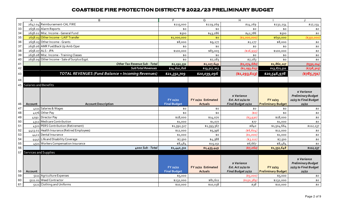|    | Α                     | B                                                        | $\overline{F}$                  | $\overline{G}$                       | $\overline{H}$                                         |                                       | $\cdot$                                                                    |
|----|-----------------------|----------------------------------------------------------|---------------------------------|--------------------------------------|--------------------------------------------------------|---------------------------------------|----------------------------------------------------------------------------|
| 32 |                       | 2647.04 Reimbursement-CAL FIRE                           | \$215,000                       | \$229,269                            | \$14,269                                               | \$232,254                             | \$17,254                                                                   |
| 33 |                       | 2658.01 Alarm Reports                                    | \$0                             | \$0                                  | \$0                                                    | \$0                                   | \$0                                                                        |
| 34 |                       | 2658.02 Misc. Income - General Fund                      | \$500                           | \$43,286                             | \$42,786                                               | \$500                                 | \$0                                                                        |
| 35 |                       | 2658.03 Other Income - LAIF Transfer                     | \$1,000,000                     | \$0                                  | (\$1,000,000                                           | \$650,000                             | \$350,000                                                                  |
| 36 |                       | 2658.05 Other Income - Grants                            | \$8,000                         | \$9,277                              | \$1,277                                                | \$8,000                               | \$0                                                                        |
| 37 |                       | 2658.06 AMR Fuel/Back Up Amb Oper                        | \$0                             | \$0                                  | \$0                                                    | \$0                                   | \$0                                                                        |
| 38 |                       | 2658.07 ALS - JPA                                        | \$100,000                       | \$83,005                             | \$16,995                                               | \$100,000                             | \$0                                                                        |
| 39 |                       | 2658.08 Misc. Income - Training Classes                  | \$0                             | \$0                                  | \$0                                                    | \$0                                   | \$0                                                                        |
| 40 |                       | 2658.09 Other Income - Sale of Surplus Eqpt.             | \$0                             | \$7,283                              | \$7,283                                                | \$0                                   | \$0                                                                        |
| 41 |                       | <b>Other Tax Revenue Sub - Total</b>                     | \$2,192,331                     | \$1,117,649                          | (\$1,074,682)                                          | \$1,860,117                           | ( \$332, 214)                                                              |
| 42 |                       | <b>SubTotal Revenues</b>                                 | \$14,610,816                    | \$13,317,203                         | (\$1,293,613)                                          | \$13,872,511                          | ( \$738, 305)                                                              |
| 43 |                       | <b>TOTAL REVENUES (Fund Balance + Incoming Revenues)</b> | \$21,332,709                    | \$20,039,096                         | ( \$1, 293, 613)                                       | \$20,546,978                          | (5785, 731)                                                                |
| 44 |                       |                                                          |                                 |                                      |                                                        |                                       |                                                                            |
| 45 | Salaries and Benefits |                                                          |                                 |                                      |                                                        |                                       |                                                                            |
| 46 | Account               | <b>Account Description</b>                               | FY 21/22<br><b>Final Budget</b> | FY 21/22 Estimated<br><b>Actuals</b> | \$ Variance<br>Est. Act 21/22 to<br>Final Budget 21/22 | FY 22/23<br><b>Preliminary Budget</b> | \$ Variance<br><b>Preliminary Budget</b><br>22/23 to Final Budget<br>21/22 |
|    |                       |                                                          |                                 |                                      |                                                        |                                       |                                                                            |
| 47 | 4111                  | Salaries & Wages                                         | \$0                             | \$0                                  | \$0                                                    | \$0                                   | \$0                                                                        |
| 48 |                       |                                                          | \$0                             | \$0                                  | (50)                                                   | \$0                                   | \$0                                                                        |
| 49 | 4192                  | 4176 Other Pay<br><b>Director Pay</b>                    | \$18,000                        | \$14,070                             |                                                        | \$18,000                              | \$0                                                                        |
| 50 | 4312                  | Medicare Contribution                                    | \$1,000                         | \$1,077                              | ( \$3,930)<br>\$77                                     | \$1,000                               | \$0                                                                        |
| 51 | 4321                  | PERS Contribution (Retirement)                           | \$1,392,527                     | \$1,393,367                          | \$840                                                  | \$1,504,664                           | \$112,137                                                                  |
| 52 | 4413.02               | Health Insurance (Retired Employees)                     | \$12,000                        | \$5,396                              | ( \$6, 604)                                            | \$12,000                              | \$0                                                                        |
| 53 | 4422                  | Dental Insurance                                         | \$1,000                         | \$0                                  | (\$1,000]                                              | \$1,000                               | \$0                                                                        |
| 54 | 4441                  | Life and Disability Coverage                             | \$7,500                         | \$4,388                              | $($ \$3,112)                                           | \$7,500                               | \$0                                                                        |
| 55 |                       | 4511 Workers Compensation Insurance                      | \$8,484                         | \$15,151                             | \$6,667                                                | \$8,484                               | \$0                                                                        |
| 56 |                       | 4000 Sub - Total                                         | \$1,440,511                     | \$1,433,449                          | (57, 062)                                              | \$1,552,648                           | \$112,137                                                                  |
| 57 | Services and Supplies |                                                          |                                 |                                      |                                                        |                                       |                                                                            |
| 58 | Account               |                                                          | FY 21/22<br><b>Final Budget</b> | FY 21/22 Estimated<br><b>Actuals</b> | \$ Variance<br>Est. Act 21/22 to<br>Final Budget 21/22 | FY 22/23<br><b>Preliminary Budget</b> | \$ Variance<br><b>Preliminary Budget</b><br>22/23 to Final Budget<br>21/22 |
| 59 |                       | 5111 Agriculture Expenses                                | \$5,000                         |                                      | $($ \$5,000)                                           | \$5,000                               | \$0                                                                        |
| 60 |                       | 5111.01 Weed Contractor                                  | \$232,000                       | \$81,611                             | ( \$150, 389]                                          | \$232,000                             | \$0                                                                        |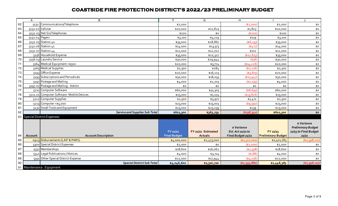|        | A              | B                                          | F.                  | G                  | H                  |                           | $\cdot$                   |
|--------|----------------|--------------------------------------------|---------------------|--------------------|--------------------|---------------------------|---------------------------|
| 62     | 5132           | Communications/Telephone                   | \$2,000             |                    | (\$2,000]          | \$2,000                   | \$0                       |
| 63     |                | 5132.02 Cellular                           | \$20,000            | \$21,825           | \$1,825            | \$20,000                  | \$0                       |
| 64     |                | 5132.03 Net Six/Telephones                 | \$200               | \$0                | (\$200             | \$200                     | $$o$$                     |
| 65     | 5132.04 Pagers |                                            | \$3,100             | \$3,219            | \$119              | \$3,100                   | \$0                       |
| 66     |                | 5132.05 Station 40                         | \$35,000            | \$28,867           | (56, 133)          | \$35,000                  | \$0                       |
| 67     |                | 5132.06 Station 41                         | \$14,000            | \$13,573           | (5427)             | \$14,000                  | \$0                       |
| 68     |                | 5132.07 Station 44                         | \$12,000            | \$12,702           | \$702              | \$12,000                  | \$0                       |
| 69     |                | 5156 Household Expense                     | \$35,000            | \$22,327           | (\$12,673)         | \$35,000                  | \$0                       |
| $70\,$ |                | 5156.03 Laundry Service                    | \$30,000            | \$29,944           | (556)              | \$30,000                  | \$0                       |
| 71     |                | 5164 Medical Equipment <\$500              | \$20,000            | \$5,774            | ( \$14, 226 ]      | \$20,000                  | \$0                       |
| $72\,$ |                | 5165 Medical Supplies                      | \$2,500             | \$284              | (\$2,216]          | \$2,500                   | \$0                       |
| 73     |                | 5193 Office Expense                        | \$20,000            | \$16,125           | \$3,875            | \$20,000                  | \$0                       |
| 74     |                | 5195 Subscriptions and Periodicals         | \$30,000            | \$18,053           | ( \$11, 947 ]      | \$30,000                  | \$0                       |
| 75     |                | 5197 Postage and Mailing                   | \$4,000             | \$2,705            | (\$1,295           | \$4,000                   | \$0                       |
| 76     | 5197.01        | Postage and Mailing - Admin                | \$0                 | \$0                | \$0                | \$0                       | \$0                       |
| 77     |                | 5211 Computer Software                     | \$60,000            | \$51,305           | \$8,695            | \$60,000                  | \$0                       |
| 78     |                | 5211.01 Computer Software - Mobile Devices | \$15,000            | \$1,174            | (\$13,826)         | \$15,000                  | \$0                       |
| 79     |                | 5212 Computer Supplies                     | \$2,500             | \$3,971            | \$1,471            | \$2,500                   | \$0                       |
| 80     |                | 5213 Computer <\$5,000                     | \$25,000            | \$15,003           | \$9,997            | \$25,000                  | \$0                       |
| 81     |                | 5231 Small Tools and Equipment             | \$25,000            | \$25,259           | \$259              | \$25,000                  | \$0                       |
| 82     |                | <b>Service and Supplies Sub Total</b>      | \$602,300           | \$363,759          | ( \$238,541)       | \$602,300                 | $$o$$                     |
|        |                | 83 Special District Expenses               |                     |                    |                    |                           |                           |
|        |                |                                            |                     |                    |                    |                           | \$ Variance               |
|        |                |                                            |                     |                    | \$ Variance        |                           | <b>Preliminary Budget</b> |
|        |                |                                            | FY 21/22            | FY 21/22 Estimated | Est. Act 21/22 to  | FY 22/23                  | 22/23 to Final Budget     |
| 84     | Account        | <b>Account Description</b>                 | <b>Final Budget</b> | <b>Actuals</b>     | Final Budget 21/22 | <b>Preliminary Budget</b> | 21/22                     |
| 85     |                | 0923 Disbursements (LAIF & PARS)           | \$4,000,000         | \$2,473,000        | (\$1,527,000]      | \$1,401,783               | ( \$2,598,217)            |
| 86     |                | 5300 Special District Expenses             | \$2,000             | \$0                | (\$2,000]          | \$2,000                   | \$0                       |
| 87     |                | 5331 Memberships                           | \$18,600            | \$16,062           | (42,538)           | \$18,600                  | \$0                       |
| 88     |                | 5341 Legal Publications / Notices          | \$4,000             | \$3,714            | (5286)             | \$4,000                   | \$0                       |
| 89     |                | 5351 Other Special District Expense        | \$22,000            | \$17,944           | (44,056)           | \$22,000                  | \$0                       |
| 90     |                | <b>Special District Sub Total</b>          | \$4,046,600         | \$2,510,720        | (\$1,535,880)      | \$1,448,383               | (\$2,598,217)             |
|        |                | 91 Maintenance. Equipment                  |                     |                    |                    |                           |                           |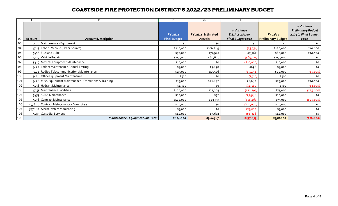|     | Α       | B                                                        | F                               | G                                    | H                                                      |                                       |                                                                     |
|-----|---------|----------------------------------------------------------|---------------------------------|--------------------------------------|--------------------------------------------------------|---------------------------------------|---------------------------------------------------------------------|
| 92  | Account | <b>Account Description</b>                               | FY 21/22<br><b>Final Budget</b> | FY 21/22 Estimated<br><b>Actuals</b> | \$ Variance<br>Est. Act 21/22 to<br>Final Budget 21/22 | FY 22/23<br><b>Preliminary Budget</b> | \$ Variance<br>Preliminary Budget<br>22/23 to Final Budget<br>21/22 |
| 93  |         | 5400 Maintenance - Equipment                             | \$0                             | \$0                                  | \$0                                                    | \$0                                   | \$0                                                                 |
| 94  |         | 5413 Labor - Vehicle (Other Source)                      | \$110,000                       | \$106,269                            | (53,731)                                               | \$120,000                             | \$10,000                                                            |
| 95  |         | 5416 Fuel and Lube                                       | \$70,000                        | \$77,967                             | \$7,967                                                | \$80,000                              | \$10,000                                                            |
| 96  |         | 5417 Vehicle Repair                                      | \$150,000                       | \$80,625                             | \$69,375                                               | \$150,000                             | \$0                                                                 |
| 97  |         | 5419 Medical Equipment Maintenance                       | \$10,000                        | \$0                                  | (\$10,000)                                             | \$10,000                              | \$0                                                                 |
| 98  |         | 5422 Ladder Maintenance Annual Testing                   | \$3,000                         | \$3,698                              | \$698                                                  | \$3,000                               | \$0                                                                 |
| 99  |         | 5424 Radio / Telecommunications Maintenance              | \$25,000                        | \$15,506                             | (49, 494)                                              | \$20,000                              | (\$5,000)                                                           |
| 100 |         | 5426 Office Equipment Maintenance                        | \$500                           | \$0                                  | (\$500)                                                | \$500                                 | \$0                                                                 |
| 101 |         | 5428 Misc. Equipment Maintenance - Operations & Training | \$15,000                        | \$21,642                             | \$6,642                                                | \$25,000                              | \$10,000                                                            |
| 102 |         | 5438 Hydrant Maintenance                                 | \$1,500                         | \$0                                  | ( \$1,500)                                             | \$500                                 | ( \$1,000)                                                          |
| 103 |         | 5455 Maintenance Facilities                              | \$100,000                       | \$27,203                             | (472, 797)                                             | \$75,000                              | \$25,000                                                            |
| 104 |         | 5459 SCBA Maintenance                                    | \$10,000                        | \$52                                 | ( \$9,948)                                             | \$10,000                              | \$0                                                                 |
| 105 |         | 5478 Contract Maintenance                                | \$100,000                       | \$43,733                             | (556, 267)                                             | \$75,000                              | ( \$25,000)                                                         |
| 106 |         | 5478.1b Contract Maintenance - Computers                 | \$10,000                        | \$0                                  | (\$10,000)                                             | \$10,000                              | \$0                                                                 |
| 107 |         | 5478.1c Alarm System Monitoring                          | \$5,000                         | \$0                                  | $($ \$5,000)                                           | \$5,000                               | \$0                                                                 |
| 108 |         | 5483 Custodial Services                                  | \$14,000                        | \$9,672                              | (4,328)                                                | \$14,000                              | \$0                                                                 |
| 109 |         | Maintenance - Equipment Sub Total                        | \$624,000                       | \$386,367                            | ( \$237, 633)                                          | \$598,000                             | (\$26,000)                                                          |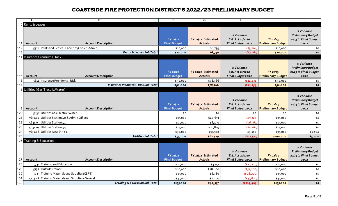|                  | A                                   | B                                                 | E                               | G                                    | H                                                     |                                       | $\mathbf{J}$                                                              |
|------------------|-------------------------------------|---------------------------------------------------|---------------------------------|--------------------------------------|-------------------------------------------------------|---------------------------------------|---------------------------------------------------------------------------|
|                  | 110 Rents & Leases                  |                                                   |                                 |                                      |                                                       |                                       |                                                                           |
| 111              | Account                             | <b>Account Description</b>                        | FY 21/22<br><b>Final Budget</b> | FY 21/22 Estimated<br><b>Actuals</b> | s Variance<br>Est. Act 21/22 to<br>Final Budget 21/22 | FY 22/23<br><b>Preliminary Budget</b> | s Variance<br><b>Preliminary Budget</b><br>22/23 to Final Budget<br>21/22 |
| 112              |                                     | 5521 Rents and Leases - Facilities/Copier (Admin) | \$10,000                        | \$6,739                              | (43, 261)                                             | \$10,000                              | \$0                                                                       |
| 113              |                                     | Rents & Leases Sub Total                          | \$10,000                        | \$6,739                              | ( \$3,261)                                            | \$10,000                              | \$0                                                                       |
|                  |                                     | 114 Insurance Premiums . Risk                     |                                 |                                      |                                                       |                                       |                                                                           |
| 115 <sup>1</sup> | Account                             | <b>Account Description</b>                        | FY 21/22<br><b>Final Budget</b> | FY 21/22 Estimated<br><b>Actuals</b> | s Variance<br>Est. Act 21/22 to<br>Final Budget 21/22 | FY 22/23<br><b>Preliminary Budget</b> | s Variance<br><b>Preliminary Budget</b><br>22/23 to Final Budget<br>21/22 |
| 116              |                                     | 5611 Insurance Premiums - Risk                    | \$90,000                        | \$78,766                             | ( \$11, 234)                                          | \$90,000                              | \$0                                                                       |
| 117              |                                     | <b>Insurance Premiums - Risk Sub Total</b>        | \$90,000                        | \$78,766                             | ( \$11, 234)                                          | \$90,000                              | \$0                                                                       |
|                  |                                     | 118 Utilities (Gas/Electric/Water)                |                                 |                                      |                                                       |                                       |                                                                           |
|                  | 119 Account                         | <b>Account Description</b>                        | FY 21/22<br><b>Final Budget</b> | FY 21/22 Estimated<br><b>Actuals</b> | s Variance<br>Est. Act 21/22 to<br>Final Budget 21/22 | FY 22/23<br><b>Preliminary Budget</b> | s Variance<br><b>Preliminary Budget</b><br>22/23 to Final Budget<br>21/22 |
| 120              |                                     | 5631 Utilities Gas/Electric/Water                 | \$0                             | \$0                                  | \$0                                                   | \$0                                   | \$0                                                                       |
| 121              |                                     | 5631.02 Utilities Station 40 & Admin Offices      | \$35,000                        | \$29,671                             | \$5,329                                               | \$35,000                              | \$0                                                                       |
| 122              |                                     | 5631.03 Utilities Station 41                      | \$15,000                        | \$8,439                              | (56, 561)                                             | \$15,000                              | \$0                                                                       |
| 123              |                                     | 5631.05 Utilities Station 44                      | \$15,000                        | \$10,819                             | (54, 181)                                             | \$15,000                              | \$0                                                                       |
| 124              |                                     | 5631.06 Utilities New Stn 41                      | \$30,000                        | \$33,500                             | \$3,500                                               | \$35,000                              | \$5,000                                                                   |
| 125              |                                     | <b>Utilities Sub Total</b>                        | \$95,000                        | \$82,429                             | (\$12,571)                                            | \$100,000                             | \$5,000                                                                   |
| 127              | 126 Training & Education<br>Account | <b>Account Description</b>                        | FY 21/22<br><b>Final Budget</b> | FY 21/22 Estimated<br><b>Actuals</b> | s Variance<br>Est. Act 21/22 to<br>Final Budget 21/22 | FY 22/23<br><b>Preliminary Budget</b> | s Variance<br><b>Preliminary Budget</b><br>22/23 to Final Budget<br>21/22 |
| 128              |                                     | 5731 Training and Education                       | \$25,000                        | \$3,757                              | (\$21,243)                                            | \$25,000                              | \$0                                                                       |
| 129              |                                     | 5732 Outside Trainer                              | \$60,000                        | \$28,800                             | \$31,200                                              | \$60,000                              | \$0                                                                       |
| 130              |                                     | 5733 Training Materials and Supplies (CERT)       | \$35,000                        | \$6,780                              | ( \$28, 220]                                          | \$35,000                              | \$0                                                                       |
| 131              |                                     | 5733.1A Training Materials and Supplies - General | \$35,000                        | \$1,200                              | ( \$33, 800)                                          | \$35,000                              | \$0                                                                       |
| 132              |                                     | <b>Training &amp; Education Sub Total</b>         | \$155,000                       | \$40,537                             | ( \$114, 463)                                         | \$155,000                             | \$0                                                                       |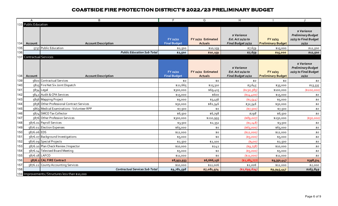|     | $\overline{A}$                  | B                                                | F                               | G                                    | H                                                      |                                       | J                                                                          |
|-----|---------------------------------|--------------------------------------------------|---------------------------------|--------------------------------------|--------------------------------------------------------|---------------------------------------|----------------------------------------------------------------------------|
|     | <b>33 Public Education</b>      |                                                  |                                 |                                      |                                                        |                                       |                                                                            |
| 134 | Account                         | <b>Account Description</b>                       | FY 21/22<br><b>Final Budget</b> | FY 21/22 Estimated<br><b>Actuals</b> | s Variance<br>Est. Act 21/22 to<br>Final Budget 21/22  | FY 22/23<br><b>Preliminary Budget</b> | \$ Variance<br><b>Preliminary Budget</b><br>22/23 to Final Budget<br>21/22 |
| 135 |                                 | 5737 Public Education                            | \$2,500                         | \$10,159                             | \$7,659                                                | \$15,000                              | \$12,500                                                                   |
| 136 |                                 | <b>Public Education Sub Total</b>                | \$2,500                         | \$10,159                             | \$7,659                                                | \$15,000                              | \$12,500                                                                   |
|     | <b>137 Contractual Services</b> |                                                  |                                 |                                      |                                                        |                                       |                                                                            |
| 138 | Account                         | <b>Account Description</b>                       | FY 21/22<br><b>Final Budget</b> | FY 21/22 Estimated<br><b>Actuals</b> | \$ Variance<br>Est. Act 21/22 to<br>Final Budget 21/22 | FY 22/23<br><b>Preliminary Budget</b> | \$ Variance<br><b>Preliminary Budget</b><br>22/23 to Final Budget<br>21/22 |
| 139 |                                 | 5800 Contractual Services                        | \$0                             | \$0                                  | \$0                                                    | \$0                                   | \$0                                                                        |
| 140 |                                 | 5815 Fire Net Six Joint Dispatch                 | \$21,665                        | \$25,310                             | \$3,645                                                | \$35,000                              | \$13,335                                                                   |
| 141 |                                 | 5834 Legal                                       | \$300,000                       | \$69,415                             | (\$230,585)                                            | \$100,000                             | (\$200,000)                                                                |
| 142 |                                 | 5842 Audit & CPA Services                        | \$15,000                        | \$600                                | (\$14,400)                                             | \$15,000                              | \$0                                                                        |
| 143 |                                 | 5856 Mapping Project                             | \$5,000                         | \$3,456                              | (\$1,544)                                              | \$5,000                               | \$0                                                                        |
| 144 |                                 | 5858 Other Professional Contract Services        | \$50,000                        | \$82,546                             | \$32,546                                               | \$50,000                              | \$0                                                                        |
| 145 |                                 | 5865 Medical Examinations - Volunteer RPP        | \$7,500                         | \$0                                  | (\$7,500)                                              | \$7,500                               | \$0                                                                        |
| 146 |                                 | 5874 SMCO Tax Collector                          | \$6,500                         | \$6,798                              | \$298                                                  | \$6,500                               | \$0                                                                        |
| 147 |                                 | 5876 Other Profession Services                   | \$300,000                       | \$210,993                            | ( \$89,007)                                            | \$250,000                             | (\$50,000)                                                                 |
| 148 |                                 | 5876.01 Payroll Services                         | \$3,500                         | \$2,352                              | ( \$1, 148)                                            | \$3,500                               | \$0                                                                        |
| 149 |                                 | 5876.02 Election Expenses                        | \$65,000                        | \$0                                  | ( \$65,000]                                            | \$65,000                              | \$0                                                                        |
| 150 | 5876.06 EDS                     |                                                  | \$12,000                        | \$0                                  | (\$12,000]                                             | \$12,000                              | \$0                                                                        |
| 151 |                                 | 5876.07 Background Investigations                | \$5,000                         | \$0                                  | (\$5,000]                                              | \$5,000                               | \$0                                                                        |
| 152 |                                 | 5876.09 Special Projects                         | \$2,500                         | \$2,100                              | (4400)                                                 | \$2,500                               | \$0                                                                        |
| 153 |                                 | 5876.10 Plan Check Review / Inspector            | \$10,000                        | \$242                                | $($ \$9,758)                                           | \$10,000                              | \$0                                                                        |
| 154 |                                 | 5876.14 Televised Board Meeting                  | \$5,000                         | \$0                                  | $($ \$5,000)                                           | \$5,000                               | \$0                                                                        |
| 155 |                                 | 5876.18 LAFCO                                    | \$11,000                        | \$0                                  | (\$11,000)                                             | \$11,000                              | \$0                                                                        |
| 156 |                                 | 5876.2 CAL FIRE Contract                         | \$8,951,933                     | \$6,666,156                          | $(*2, 285, 777)$                                       | \$9,350,447                           | \$398,514                                                                  |
| 157 |                                 | 5876.22 County Accounting Services               | \$10,000                        | \$12,006                             | \$2,006                                                | \$12,000                              | \$2,000                                                                    |
| 158 |                                 | <b>Contractual Services Sub Total</b>            | \$9,781,598                     | \$7,081,974                          | ( \$2,699,624)                                         | \$9,945,447                           | \$163,849                                                                  |
|     |                                 | 159 Improvements / Structures less than \$10,000 |                                 |                                      |                                                        |                                       |                                                                            |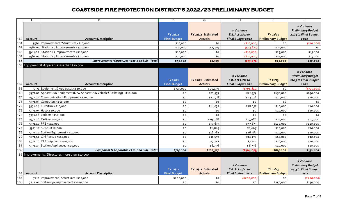|            | Α       | B                                                                            | F.                              | G                                    | H.                                                     |                                         |                                                                            |
|------------|---------|------------------------------------------------------------------------------|---------------------------------|--------------------------------------|--------------------------------------------------------|-----------------------------------------|----------------------------------------------------------------------------|
| 160        | Account | <b>Account Description</b>                                                   | FY 21/22<br><b>Final Budget</b> | FY 21/22 Estimated<br><b>Actuals</b> | \$ Variance<br>Est. Act 21/22 to<br>Final Budget 21/22 | $FY$ 22/23<br><b>Preliminary Budget</b> | \$ Variance<br><b>Preliminary Budget</b><br>22/23 to Final Budget<br>21/22 |
| 161        |         | 5961 Improvements / Structures <\$10,000                                     | \$10,000                        | \$0                                  | (\$10,000)                                             | \$0                                     | (\$10,000)                                                                 |
| 162        |         | 5961.01 Station 40 Improvements <\$10,000                                    | \$25,000                        | \$1,329                              | (\$23,671)                                             | \$25,000                                | \$0                                                                        |
| 163        |         | 5961.02 Station 41 Improvements <\$10,000                                    | \$10,000                        | \$0                                  | (\$10,000)                                             | \$25,000                                | \$15,000                                                                   |
| 164        |         | 5961.03 Station 44 Improvements <\$10,000                                    | \$10,000                        | \$0                                  | (\$10,000]                                             | \$25,000                                | \$15,000                                                                   |
| 165        |         | Improvements / Structures <\$10,000 Sub - Total                              | \$55,000                        | \$1,329                              | $(*53, 671)$                                           | \$75,000                                | \$20,000                                                                   |
|            |         | 166 Equipment & Apparatus less than \$10,000                                 |                                 |                                      |                                                        |                                         |                                                                            |
|            |         |                                                                              | FY 21/22                        | FY 21/22 Estimated                   | s Variance<br>Est. Act 21/22 to                        | FY 22/23                                | <i>s</i> Variance<br><b>Preliminary Budget</b><br>22/23 to Final Budget    |
| 167        | Account | <b>Account Description</b>                                                   | <b>Final Budget</b>             | <b>Actuals</b>                       | Final Budget 21/22                                     | <b>Preliminary Budget</b>               | 21/22                                                                      |
| 168        |         | 5971 Equipment & Apparatus <\$10,000                                         | \$725,000                       | \$20,190                             | ( \$704, 810)                                          | \$0                                     | (\$725,000)                                                                |
| 169        |         | 5971.01 Apparatus & Equipment (New Apparatus & Vehicle Outfitting) <\$10,000 | \$0                             | \$71,559                             | \$71,559                                               | \$650,000                               | \$650,000                                                                  |
| 170        |         | 5971.02 Communications Equipment <\$10,000                                   | \$0                             | \$23,538                             | \$23,538                                               | \$10,000                                | \$10,000                                                                   |
| 171        |         | 5971.03 Computers <\$10,000                                                  | \$0                             | \$0                                  | \$0                                                    | \$0                                     | \$0                                                                        |
| 172        |         | 5971.04 Furniture<\$10,000                                                   | \$0                             | \$18,037                             | \$18,037                                               | \$10,000                                | \$10,000                                                                   |
| 173        |         | 5971.05 Hose<\$10,000                                                        | \$0                             | \$0                                  | \$0                                                    | \$10,000                                | \$10,000                                                                   |
| 174        |         | 5971.06 Ladders <\$10,000                                                    | \$0                             | \$0                                  | \$0                                                    | \$0                                     | \$0                                                                        |
| 175        |         | 5971.08 Radios <\$10,000                                                     | \$0                             | \$19,988                             | \$19,988                                               | \$25,000                                | \$25,000                                                                   |
| 176        |         | 5971.10 PPE <\$10,000                                                        | \$0                             | \$57,673                             | \$57,673                                               | \$120,000                               | \$120,000                                                                  |
| 177<br>178 |         | 5971.11 SCBA <\$10,000<br>5971.12 Station Equipment <\$10,000                | \$0                             | \$6,865                              | \$6,865<br>\$16,781                                    | \$10,000                                | \$10,000                                                                   |
| 179        |         | 5971.14 Cliff Rescue <\$10,000                                               | \$0                             | \$16,781                             |                                                        | \$10,000                                | \$10,000                                                                   |
| 180        |         | 5971.18 PT Equipment <\$10,000                                               | \$0<br>\$0                      | \$11,159                             | \$11,159                                               | \$10,000                                | \$10,000                                                                   |
| 181        |         | 5971.19 Station Appliances <\$10,000                                         | \$0                             | \$7,741<br>\$6,796                   | \$7,741<br>\$6,796                                     | \$10,000<br>\$10,000                    | \$10,000<br>\$10,000                                                       |
| 182        |         | Equipment & Apparatus <\$10,000 Sub - Total                                  | \$725,000                       | \$260,327                            | (464, 673)                                             | \$875,000                               | \$150,000                                                                  |
|            |         | 183 Improvements / Structures more than \$10,000                             |                                 |                                      |                                                        |                                         |                                                                            |
| 184        | Account | <b>Account Description</b>                                                   | FY 21/22<br><b>Final Budget</b> | FY 21/22 Estimated<br><b>Actuals</b> | s Variance<br>Est. Act 21/22 to<br>Final Budget 21/22  | FY 22/23<br><b>Preliminary Budget</b>   | \$ Variance<br><b>Preliminary Budget</b><br>22/23 to Final Budget<br>21/22 |
| 185        |         | 7211 Improvement / Structures > \$10,000                                     | \$200,000                       | \$0                                  | (\$200,000)                                            | \$0                                     | (\$200,000)                                                                |
| 186        |         | 7211.01 Station 40 Improvements > \$10,000                                   | \$0                             | \$0                                  | \$0                                                    | \$150,000                               | \$150,000                                                                  |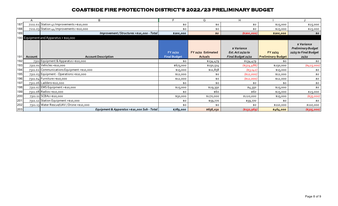|     | A       | B                                           | F.                              | G                                    | н                                                     |                                       |                                                                            |
|-----|---------|---------------------------------------------|---------------------------------|--------------------------------------|-------------------------------------------------------|---------------------------------------|----------------------------------------------------------------------------|
| 187 |         | 7211.02 Station 41 Improvements > \$10,000  | \$0                             | \$0                                  | \$0                                                   | \$25,000                              | \$25,000                                                                   |
| 188 |         | 7211.03 Station 44 Improvements > \$10,000  | \$0                             | \$0                                  | \$0                                                   | \$25,000                              | \$25,000                                                                   |
| 189 |         | Improvement / Structures >\$10,000 - Total  | \$200,000                       | \$0                                  | ( \$200,000 ]                                         | \$200,000                             | \$0                                                                        |
|     |         | 190 Equipment and Apparatus > \$10,000      |                                 |                                      |                                                       |                                       |                                                                            |
| 191 | Account | <b>Account Description</b>                  | FY 21/22<br><b>Final Budget</b> | FY 21/22 Estimated<br><b>Actuals</b> | s Variance<br>Est. Act 21/22 to<br>Final Budget 21/22 | FY 22/23<br><b>Preliminary Budget</b> | \$ Variance<br><b>Preliminary Budget</b><br>22/23 to Final Budget<br>21/22 |
| 192 |         | 7311 Equipment & Apparatus > \$10,000       | \$0                             | \$134,479                            | \$134,479                                             | \$0                                   | \$0                                                                        |
| 193 |         | 7311.01 Vehicles > \$10,000                 | \$675,000                       | \$150,514                            | ( \$524, 486)                                         | \$250,000                             | ( \$425,000]                                                               |
| 194 |         | 7311.02 Communications Equipment >\$10,000  | \$15,000                        | \$11,858                             | (43,142)                                              | \$15,000                              | \$0                                                                        |
| 195 |         | 7311.03 Equipment - Operations > \$10,000   | \$12,000                        | \$0                                  | (\$12,000)                                            | \$12,000                              | \$0                                                                        |
| 196 |         | 7311.04 Furniture > \$10,000                | \$12,000                        | \$0                                  | ( \$12,000 ]                                          | \$12,000                              | \$0                                                                        |
| 197 |         | 7311.06 Ladders>\$10,000                    | \$0                             | \$0                                  | \$0                                                   | \$0                                   | \$0                                                                        |
| 198 |         | 7311.07 EMS Equipment >\$10,000             | \$25,000                        | \$29,350                             | \$4,350                                               | \$25,000                              | \$0                                                                        |
| 199 |         | 7311.08 Radios>\$10,000                     | \$0                             | \$60                                 | \$60                                                  | \$25,000                              | \$25,000                                                                   |
| 200 |         | 7311.11 SCBAs>\$10,000                      | \$50,000                        | \$270,000                            | \$220,000                                             | \$15,000                              | (\$35,000)                                                                 |
| 201 |         | 7311.12 Station Equipment >\$10,000         | \$0                             | \$59,770                             | \$59,770                                              | \$0                                   | \$0                                                                        |
| 202 |         | 7311.13 Water Rescue/UAV / Drone > \$10,000 | \$0                             | \$0                                  | \$0                                                   | \$110,000                             | \$110,000                                                                  |
| 203 |         | Equipment & Apparatus >\$10,000 Sub - Total | \$789,000                       | \$656,031                            | ( \$132, 969)                                         | \$464,000                             | ( \$325,000)                                                               |